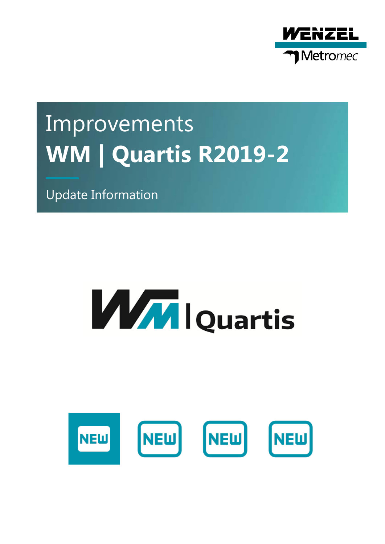

# Improvements **WM | Quartis R2019-2**

Update Information

# **MAN** I Quartis

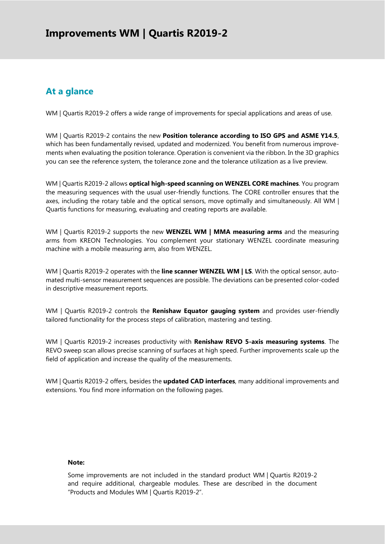### **At a glance**

WM | Quartis R2019-2 offers a wide range of improvements for special applications and areas of use.

WM | Quartis R2019-2 contains the new **Position tolerance according to ISO GPS and ASME Y14.5**, which has been fundamentally revised, updated and modernized. You benefit from numerous improvements when evaluating the position tolerance. Operation is convenient via the ribbon. In the 3D graphics you can see the reference system, the tolerance zone and the tolerance utilization as a live preview.

WM | Quartis R2019-2 allows **optical high-speed scanning on WENZEL CORE machines**. You program the measuring sequences with the usual user-friendly functions. The CORE controller ensures that the axes, including the rotary table and the optical sensors, move optimally and simultaneously. All WM | Quartis functions for measuring, evaluating and creating reports are available.

WM | Quartis R2019-2 supports the new **WENZEL WM | MMA measuring arms** and the measuring arms from KREON Technologies. You complement your stationary WENZEL coordinate measuring machine with a mobile measuring arm, also from WENZEL.

WM | Quartis R2019-2 operates with the **line scanner WENZEL WM | LS**. With the optical sensor, automated multi-sensor measurement sequences are possible. The deviations can be presented color-coded in descriptive measurement reports.

WM | Quartis R2019-2 controls the **Renishaw Equator gauging system** and provides user-friendly tailored functionality for the process steps of calibration, mastering and testing.

WM | Quartis R2019-2 increases productivity with **Renishaw REVO 5-axis measuring systems**. The REVO sweep scan allows precise scanning of surfaces at high speed. Further improvements scale up the field of application and increase the quality of the measurements.

WM | Quartis R2019-2 offers, besides the **updated CAD interfaces**, many additional improvements and extensions. You find more information on the following pages.

#### **Note:**

Some improvements are not included in the standard product WM | Quartis R2019-2 and require additional, chargeable modules. These are described in the document "Products and Modules WM | Quartis R2019-2".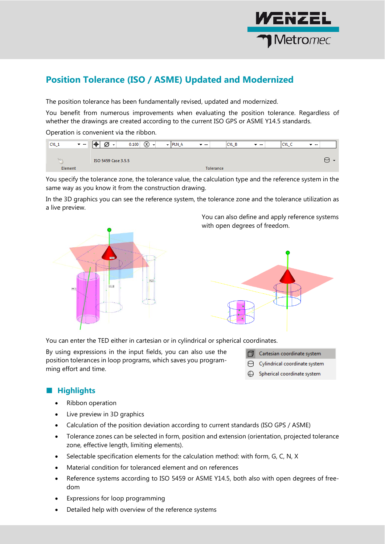

# **Position Tolerance (ISO / ASME) Updated and Modernized**

The position tolerance has been fundamentally revised, updated and modernized.

You benefit from numerous improvements when evaluating the position tolerance. Regardless of whether the drawings are created according to the current ISO GPS or ASME Y14.5 standards.

Operation is convenient via the ribbon.

| CYL_1   | $\mathbf{v}$ and | Ø<br>⊩⊕<br>$\overline{\phantom{a}}$ | 0.100<br>$\infty$<br>$\overline{\phantom{a}}$ | $\overline{+}$ PLN_A | $\overline{\mathbf{v}}$ | CYL B     | $\overline{\phantom{a}}$ | CYL_C | $\overline{\mathbf{v}}$ |   |
|---------|------------------|-------------------------------------|-----------------------------------------------|----------------------|-------------------------|-----------|--------------------------|-------|-------------------------|---|
|         |                  |                                     |                                               |                      |                         |           |                          |       |                         |   |
|         |                  | ISO 5459 Case 3.5.5                 |                                               |                      |                         |           |                          |       |                         | ⊢ |
| Element |                  |                                     |                                               |                      |                         | Tolerance |                          |       |                         |   |

You specify the tolerance zone, the tolerance value, the calculation type and the reference system in the same way as you know it from the construction drawing.

In the 3D graphics you can see the reference system, the tolerance zone and the tolerance utilization as a live preview.



You can also define and apply reference systems with open degrees of freedom.



You can enter the TED either in cartesian or in cylindrical or spherical coordinates.

By using expressions in the input fields, you can also use the position tolerances in loop programs, which saves you programming effort and time.



- Cylindrical coordinate system
- **←** Spherical coordinate system

#### ■ **Highlights**

- Ribbon operation
- Live preview in 3D graphics
- Calculation of the position deviation according to current standards (ISO GPS / ASME)
- Tolerance zones can be selected in form, position and extension (orientation, projected tolerance zone, effective length, limiting elements).
- Selectable specification elements for the calculation method: with form, G, C, N, X
- Material condition for toleranced element and on references
- Reference systems according to ISO 5459 or ASME Y14.5, both also with open degrees of freedom
- Expressions for loop programming
- Detailed help with overview of the reference systems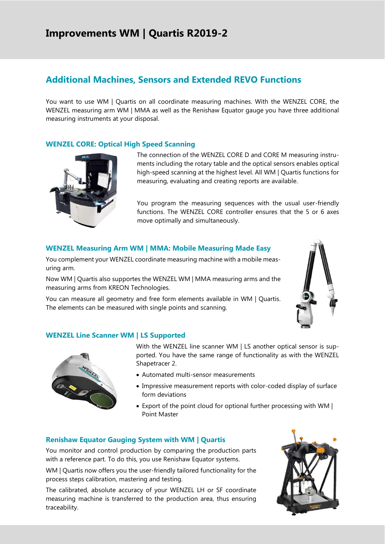# **Additional Machines, Sensors and Extended REVO Functions**

You want to use WM | Quartis on all coordinate measuring machines. With the WENZEL CORE, the WENZEL measuring arm WM | MMA as well as the Renishaw Equator gauge you have three additional measuring instruments at your disposal.

#### **WENZEL CORE: Optical High Speed Scanning**



The connection of the WENZEL CORE D and CORE M measuring instruments including the rotary table and the optical sensors enables optical high-speed scanning at the highest level. All WM | Quartis functions for measuring, evaluating and creating reports are available.

You program the measuring sequences with the usual user-friendly functions. The WENZEL CORE controller ensures that the 5 or 6 axes move optimally and simultaneously.

#### **WENZEL Measuring Arm WM | MMA: Mobile Measuring Made Easy**

You complement your WENZEL coordinate measuring machine with a mobile measuring arm.

Now WM | Quartis also supportes the WENZEL WM | MMA measuring arms and the measuring arms from KREON Technologies.

You can measure all geometry and free form elements available in WM | Quartis. The elements can be measured with single points and scanning.



#### **WENZEL Line Scanner WM | LS Supported**



With the WENZEL line scanner WM | LS another optical sensor is supported. You have the same range of functionality as with the WENZEL Shapetracer 2.

- Automated multi-sensor measurements
- Impressive measurement reports with color-coded display of surface form deviations
- Export of the point cloud for optional further processing with WM | Point Master

#### **Renishaw Equator Gauging System with WM | Quartis**

You monitor and control production by comparing the production parts with a reference part. To do this, you use Renishaw Equator systems.

WM | Quartis now offers you the user-friendly tailored functionality for the process steps calibration, mastering and testing.

The calibrated, absolute accuracy of your WENZEL LH or SF coordinate measuring machine is transferred to the production area, thus ensuring traceability.

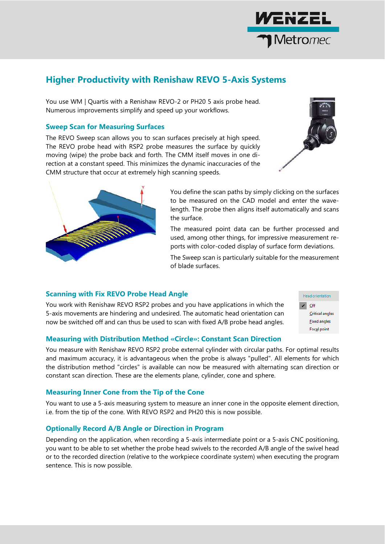

# **Higher Productivity with Renishaw REVO 5-Axis Systems**

You use WM | Quartis with a Renishaw REVO-2 or PH20 5 axis probe head. Numerous improvements simplify and speed up your workflows.

#### **Sweep Scan for Measuring Surfaces**

The REVO Sweep scan allows you to scan surfaces precisely at high speed. The REVO probe head with RSP2 probe measures the surface by quickly moving (wipe) the probe back and forth. The CMM itself moves in one direction at a constant speed. This minimizes the dynamic inaccuracies of the CMM structure that occur at extremely high scanning speeds.





You define the scan paths by simply clicking on the surfaces to be measured on the CAD model and enter the wavelength. The probe then aligns itself automatically and scans the surface.

The measured point data can be further processed and used, among other things, for impressive measurement reports with color-coded display of surface form deviations.

The Sweep scan is particularly suitable for the measurement of blade surfaces.

#### **Scanning with Fix REVO Probe Head Angle**

You work with Renishaw REVO RSP2 probes and you have applications in which the 5-axis movements are hindering and undesired. The automatic head orientation can now be switched off and can thus be used to scan with fixed A/B probe head angles.



#### **Measuring with Distribution Method «Circle»: Constant Scan Direction**

You measure with Renishaw REVO RSP2 probe external cylinder with circular paths. For optimal results and maximum accuracy, it is advantageous when the probe is always "pulled". All elements for which the distribution method "circles" is available can now be measured with alternating scan direction or constant scan direction. These are the elements plane, cylinder, cone and sphere.

#### **Measuring Inner Cone from the Tip of the Cone**

You want to use a 5-axis measuring system to measure an inner cone in the opposite element direction, i.e. from the tip of the cone. With REVO RSP2 and PH20 this is now possible.

#### **Optionally Record A/B Angle or Direction in Program**

Depending on the application, when recording a 5-axis intermediate point or a 5-axis CNC positioning, you want to be able to set whether the probe head swivels to the recorded A/B angle of the swivel head or to the recorded direction (relative to the workpiece coordinate system) when executing the program sentence. This is now possible.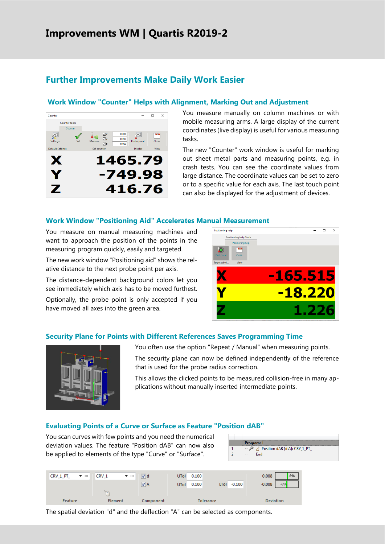## **Further Improvements Make Daily Work Easier**

#### **Work Window "Counter" Helps with Alignment, Marking Out and Adjustment**



You measure manually on column machines or with mobile measuring arms. A large display of the current coordinates (live display) is useful for various measuring tasks.

The new "Counter" work window is useful for marking out sheet metal parts and measuring points, e.g. in crash tests. You can see the coordinate values from large distance. The coordinate values can be set to zero or to a specific value for each axis. The last touch point can also be displayed for the adjustment of devices.

#### **Work Window "Positioning Aid" Accelerates Manual Measurement**

You measure on manual measuring machines and want to approach the position of the points in the measuring program quickly, easily and targeted.

The new work window "Positioning aid" shows the relative distance to the next probe point per axis.

The distance-dependent background colors let you see immediately which axis has to be moved furthest.

Optionally, the probe point is only accepted if you have moved all axes into the green area.



#### **Security Plane for Points with Different References Saves Programming Time**



You often use the option "Repeat / Manual" when measuring points.

The security plane can now be defined independently of the reference that is used for the probe radius correction.

This allows the clicked points to be measured collision-free in many applications without manually inserted intermediate points.

#### **Evaluating Points of a Curve or Surface as Feature "Position dAB"**

You scan curves with few points and you need the numerical deviation values. The feature "Position dAB" can now also be applied to elements of the type "Curve" or "Surface".





The spatial deviation "d" and the deflection "A" can be selected as components.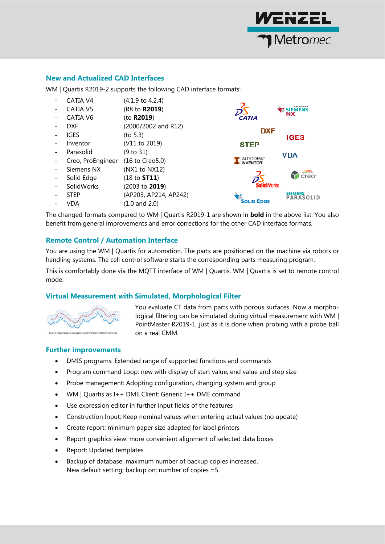

#### **New and Actualized CAD Interfaces**

WM | Quartis R2019-2 supports the following CAD interface formats:

- $CATIA V4$   $(4.1.9 \text{ to } 4.2.4)$
- CATIA V5 (R8 to **R2019**)
- CATIA V6 (to **R2019**)
- DXF (2000/2002 and R12)
- $IGES$  (to 5.3)
- Inventor (V11 to 2019)
- Parasolid (9 to 31)
- Creo, ProEngineer (16 to Creo5.0)
- Siemens NX (NX1 to NX12)
- Solid Edge (18 to **ST11**)
- SolidWorks (2003 to **2019**)
- STEP (AP203, AP214, AP242)
- VDA (1.0 and 2.0)



The changed formats compared to WM | Quartis R2019-1 are shown in **bold** in the above list. You also benefit from general improvements and error corrections for the other CAD interface formats.

#### **Remote Control / Automation Interface**

You are using the WM | Quartis for automation. The parts are positioned on the machine via robots or handling systems. The cell control software starts the corresponding parts measuring program.

This is comfortably done via the MQTT interface of WM | Quartis. WM | Quartis is set to remote control mode.

#### **Virtual Measurement with Simulated, Morphological Filter**



You evaluate CT data from parts with porous surfaces. Now a morphological filtering can be simulated during virtual measurement with WM | PointMaster R2019-1, just as it is done when probing with a probe ball on a real CMM.

#### **Further improvements**

- DMIS programs: Extended range of supported functions and commands
- Program command Loop: new with display of start value, end value and step size
- Probe management: Adopting configuration, changing system and group
- WM | Quartis as I++ DME Client: Generic I++ DME command
- Use expression editor in further input fields of the features
- Construction Input: Keep nominal values when entering actual values (no update)
- Create report: minimum paper size adapted for label printers
- Report graphics view: more convenient alignment of selected data boxes
- Report: Updated templates
- Backup of database: maximum number of backup copies increased. New default setting: backup on; number of copies =5.